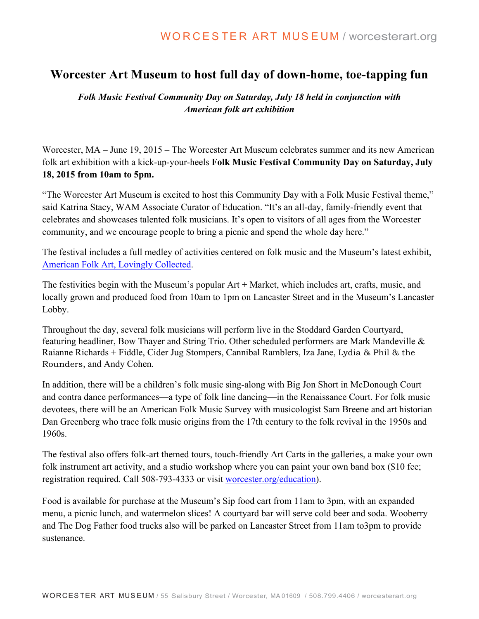## **Worcester Art Museum to host full day of down-home, toe-tapping fun**

*Folk Music Festival Community Day on Saturday, July 18 held in conjunction with American folk art exhibition*

Worcester, MA – June 19, 2015 – The Worcester Art Museum celebrates summer and its new American folk art exhibition with a kick-up-your-heels **Folk Music Festival Community Day on Saturday, July 18, 2015 from 10am to 5pm.**

"The Worcester Art Museum is excited to host this Community Day with a Folk Music Festival theme," said Katrina Stacy, WAM Associate Curator of Education. "It's an all-day, family-friendly event that celebrates and showcases talented folk musicians. It's open to visitors of all ages from the Worcester community, and we encourage people to bring a picnic and spend the whole day here."

The festival includes a full medley of activities centered on folk music and the Museum's latest exhibit, American Folk Art, Lovingly Collected.

The festivities begin with the Museum's popular Art + Market, which includes art, crafts, music, and locally grown and produced food from 10am to 1pm on Lancaster Street and in the Museum's Lancaster Lobby.

Throughout the day, several folk musicians will perform live in the Stoddard Garden Courtyard, featuring headliner, Bow Thayer and String Trio. Other scheduled performers are Mark Mandeville & Raianne Richards + Fiddle, Cider Jug Stompers, Cannibal Ramblers, Iza Jane, Lydia & Phil & the Rounders, and Andy Cohen.

In addition, there will be a children's folk music sing-along with Big Jon Short in McDonough Court and contra dance performances—a type of folk line dancing—in the Renaissance Court. For folk music devotees, there will be an American Folk Music Survey with musicologist Sam Breene and art historian Dan Greenberg who trace folk music origins from the 17th century to the folk revival in the 1950s and 1960s.

The festival also offers folk-art themed tours, touch-friendly Art Carts in the galleries, a make your own folk instrument art activity, and a studio workshop where you can paint your own band box (\$10 fee; registration required. Call 508-793-4333 or visit worcester.org/education).

Food is available for purchase at the Museum's Sip food cart from 11am to 3pm, with an expanded menu, a picnic lunch, and watermelon slices! A courtyard bar will serve cold beer and soda. Wooberry and The Dog Father food trucks also will be parked on Lancaster Street from 11am to3pm to provide sustenance.